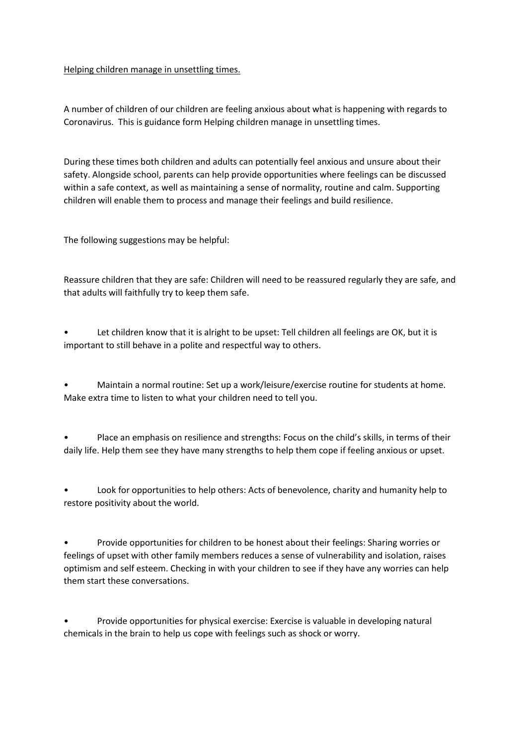## Helping children manage in unsettling times.

A number of children of our children are feeling anxious about what is happening with regards to Coronavirus. This is guidance form Helping children manage in unsettling times.

During these times both children and adults can potentially feel anxious and unsure about their safety. Alongside school, parents can help provide opportunities where feelings can be discussed within a safe context, as well as maintaining a sense of normality, routine and calm. Supporting children will enable them to process and manage their feelings and build resilience.

The following suggestions may be helpful:

Reassure children that they are safe: Children will need to be reassured regularly they are safe, and that adults will faithfully try to keep them safe.

Let children know that it is alright to be upset: Tell children all feelings are OK, but it is important to still behave in a polite and respectful way to others.

• Maintain a normal routine: Set up a work/leisure/exercise routine for students at home. Make extra time to listen to what your children need to tell you.

• Place an emphasis on resilience and strengths: Focus on the child's skills, in terms of their daily life. Help them see they have many strengths to help them cope if feeling anxious or upset.

• Look for opportunities to help others: Acts of benevolence, charity and humanity help to restore positivity about the world.

• Provide opportunities for children to be honest about their feelings: Sharing worries or feelings of upset with other family members reduces a sense of vulnerability and isolation, raises optimism and self esteem. Checking in with your children to see if they have any worries can help them start these conversations.

• Provide opportunities for physical exercise: Exercise is valuable in developing natural chemicals in the brain to help us cope with feelings such as shock or worry.